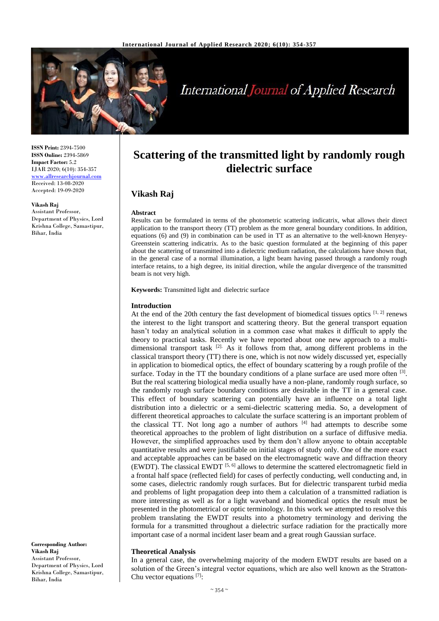

# **International Journal of Applied Research**

**ISSN Print:** 2394-7500 **ISSN Online:** 2394-5869 **Impact Factor:** 5.2 IJAR 2020; 6(10): 354-357 <www.allresearchjournal.com> Received: 13-08-2020 Accepted: 19-09-2020

**Vikash Raj** Assistant Professor, Department of Physics, Lord Krishna College, Samastipur, Bihar, India

**Corresponding Author: Vikash Raj** Assistant Professor, Department of Physics, Lord Krishna College, Samastipur, Bihar, India

## **Scattering of the transmitted light by randomly rough dielectric surface**

### **Vikash Raj**

#### **Abstract**

Results can be formulated in terms of the photometric scattering indicatrix, what allows their direct application to the transport theory (TT) problem as the more general boundary conditions. In addition, equations (6) and (9) in combination can be used in TT as an alternative to the well-known Henyey-Greenstein scattering indicatrix. As to the basic question formulated at the beginning of this paper about the scattering of transmitted into a dielectric medium radiation, the calculations have shown that, in the general case of a normal illumination, a light beam having passed through a randomly rough interface retains, to a high degree, its initial direction, while the angular divergence of the transmitted beam is not very high.

**Keywords:** Transmitted light and dielectric surface

#### **Introduction**

At the end of the 20th century the fast development of biomedical tissues optics  $[1, 2]$  renews the interest to the light transport and scattering theory. But the general transport equation hasn't today an analytical solution in a common case what makes it difficult to apply the theory to practical tasks. Recently we have reported about one new approach to a multidimensional transport task  $[2]$ . As it follows from that, among different problems in the classical transport theory (TT) there is one, which is not now widely discussed yet, especially in application to biomedical optics, the effect of boundary scattering by a rough profile of the surface. Today in the TT the boundary conditions of a plane surface are used more often  $[3]$ . But the real scattering biological media usually have a non-plane, randomly rough surface, so the randomly rough surface boundary conditions are desirable in the TT in a general case. This effect of boundary scattering can potentially have an influence on a total light distribution into a dielectric or a semi-dielectric scattering media. So, a development of different theoretical approaches to calculate the surface scattering is an important problem of the classical TT. Not long ago a number of authors  $[4]$  had attempts to describe some theoretical approaches to the problem of light distribution on a surface of diffusive media. However, the simplified approaches used by them don't allow anyone to obtain acceptable quantitative results and were justifiable on initial stages of study only. One of the more exact and acceptable approaches can be based on the electromagnetic wave and diffraction theory (EWDT). The classical EWDT  $[5, 6]$  allows to determine the scattered electromagnetic field in a frontal half space (reflected field) for cases of perfectly conducting, well conducting and, in some cases, dielectric randomly rough surfaces. But for dielectric transparent turbid media and problems of light propagation deep into them a calculation of a transmitted radiation is more interesting as well as for a light waveband and biomedical optics the result must be presented in the photometrical or optic terminology. In this work we attempted to resolve this problem translating the EWDT results into a photometry terminology and deriving the formula for a transmitted throughout a dielectric surface radiation for the practically more important case of a normal incident laser beam and a great rough Gaussian surface.

#### **Theoretical Analysis**

In a general case, the overwhelming majority of the modern EWDT results are based on a solution of the Green's integral vector equations, which are also well known as the Stratton-Chu vector equations  $[7]$ :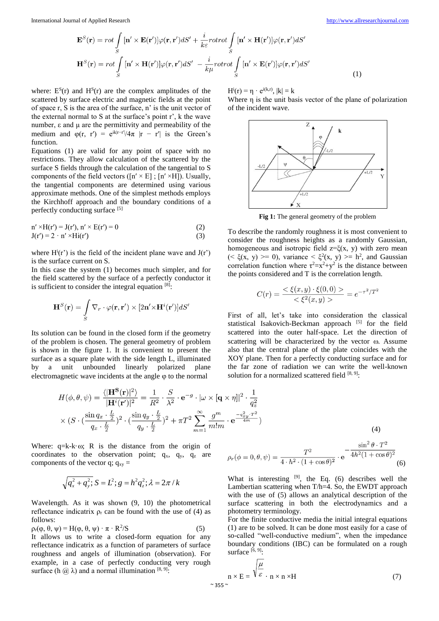(1)

$$
\mathbf{E}^{S}(\mathbf{r}) = rot \int_{S} [\mathbf{n}' \times \mathbf{E}(\mathbf{r}')] \varphi(\mathbf{r}, \mathbf{r}') dS' + \frac{i}{k\varepsilon} rotrot \int_{S} [\mathbf{n}' \times \mathbf{H}(\mathbf{r}')] \varphi(\mathbf{r}, \mathbf{r}') dS'
$$

$$
\mathbf{H}^{S}(\mathbf{r}) = rot \int_{S} [\mathbf{n}' \times \mathbf{H}(\mathbf{r}')] \varphi(\mathbf{r}, \mathbf{r}') dS' - \frac{i}{k\mu} rotrot \int_{S} [\mathbf{n}' \times \mathbf{E}(\mathbf{r}')] \varphi(\mathbf{r}, \mathbf{r}') dS'
$$

where:  $E^{S}(r)$  and  $H^{S}(r)$  are the complex amplitudes of the scattered by surface electric and magnetic fields at the point of space r, S is the area of the surface, n' is the unit vector of the external normal to S at the surface's point r', k the wave number, ε and μ are the permittivity and permeability of the medium and  $\varphi(r, r') = e^{ik|r-r'|/4\pi} |r - r'|$  is the Green's function.

Equations (1) are valid for any point of space with no restrictions. They allow calculation of the scattered by the surface S fields through the calculation of the tangential to S components of the field vectors ( $[n' \times E]$ ;  $[n' \times H]$ ). Usually, the tangential components are determined using various approximate methods. One of the simplest methods employs the Kirchhoff approach and the boundary conditions of a perfectly conducting surface [5]

$$
n' \times H(r') = J(r'), n' \times E(r') = 0
$$
  
\n
$$
J(r') = 2 \cdot n' \times Hi(r')
$$
 (3)

where  $H^i(r')$  is the field of the incident plane wave and  $J(r')$ is the surface current on S.

In this case the system (1) becomes much simpler, and for the field scattered by the surface of a perfectly conductor it is sufficient to consider the integral equation  $[8]$ :

$$
\mathbf{H}^{S}(\mathbf{r}) = \int_{S} \nabla_{r} \cdot \varphi(\mathbf{r}, \mathbf{r}') \times [2\mathbf{n}' \times \mathbf{H}^{i}(\mathbf{r}')] dS'
$$

Its solution can be found in the closed form if the geometry of the problem is chosen. The general geometry of problem is shown in the figure 1. It is convenient to present the surface as a square plate with the side length L, illuminated by a unit unbounded linearly polarized plane electromagnetic wave incidents at the angle  $\varphi$  to the normal

$$
H^i(r) = \eta \cdot e^{i(k,r)}, \, |k| = k
$$

Where η is the unit basis vector of the plane of polarization of the incident wave.



**Fig 1:** The general geometry of the problem

To describe the randomly roughness it is most convenient to consider the roughness heights as a randomly Gaussian, homogeneous and isotropic field  $z = \xi(x, y)$  with zero mean (<  $\xi(x, y)$  >= 0), variance <  $\xi^2(x, y)$  >= h<sup>2</sup>, and Gaussian correlation function where  $\tau^2 = x^2 + y^2$  is the distance between the points considered and T is the correlation length.

$$
C(r) = \frac{<\xi(x,y) \cdot \xi(0,0) >}{<\xi^2(x,y) >} = e^{-\tau^2/T^2}
$$

First of all, let's take into consideration the classical statistical Isakovich-Beckman approach [5] for the field scattered into the outer half-space. Let the direction of scattering will be characterized by the vector  $\omega$ . Assume also that the central plane of the plate coincides with the XOY plane. Then for a perfectly conducting surface and for the far zone of radiation we can write the well-known solution for a normalized scattered field  $[8, 9]$ :

$$
H(\phi, \theta, \psi) = \frac{\langle |\mathbf{H}^{\mathbf{S}}(\mathbf{r})|^2 \rangle}{|\mathbf{H}^i(\mathbf{r}')|^2} = \frac{1}{R^2} \cdot \frac{S}{\lambda^2} \cdot \mathbf{e}^{-g} \cdot |\omega \times [\mathbf{q} \times \eta]|^2 \cdot \frac{1}{q_z^2}
$$
  
 
$$
\times (S \cdot (\frac{\sin q_x \cdot \frac{L}{2}}{q_x \cdot \frac{L}{2}})^2 \cdot (\frac{\sin q_y \cdot \frac{L}{2}}{q_y \cdot \frac{L}{2}})^2 + \pi T^2 \sum_{m=1}^{\infty} \frac{g^m}{m!m} \cdot \mathbf{e}^{-\frac{q_x^2 y \cdot T^2}{4m}})
$$
(4)

Where:  $q=k-k \cdot \omega$ ; R is the distance from the origin of coordinates to the observation point;  $q_x$ ,  $q_y$ ,  $q_z$  are components of the vector q;  $q_{xy} =$ 

$$
\sqrt{q_x^2 + q_y^2}; \, S = L^2; \, g = h^2 q_z^2; \, \lambda = 2\pi / k
$$

Wavelength. As it was shown (9, 10) the photometrical reflectance indicatrix  $\rho_r$  can be found with the use of (4) as follows:

$$
\rho_{r}(\varphi,\,\theta,\,\psi) = H(\varphi,\,\theta,\,\psi) \cdot \pi \cdot R^{2}/S \tag{5}
$$

It allows us to write a closed-form equation for any reflectance indicatrix as a function of parameters of surface roughness and angels of illumination (observation). For example, in a case of perfectly conducting very rough surface (h  $\omega$ ) and a normal illumination [8, 9]:

$$
\rho_r(\phi = 0, \theta, \psi) = \frac{T^2}{4 \cdot h^2 \cdot (1 + \cos \theta)^2} \cdot e^{-\frac{\sin^2 \theta \cdot T^2}{4h^2 (1 + \cos \theta)^2}}
$$
(6)

What is interesting  $[9]$ , the Eq. (6) describes well the Lambertian scattering when T/h=4. So, the EWDT approach with the use of (5) allows an analytical description of the surface scattering in both the electrodynamics and a photometry terminology.

For the finite conductive media the initial integral equations (1) are to be solved. It can be done most easily for a case of so-called "well-conductive medium", when the impedance boundary conditions (IBC) can be formulated on a rough surface [6, 9]:

$$
n \times E = \sqrt{\frac{\mu}{\varepsilon}} \cdot n \times n \times H \tag{7}
$$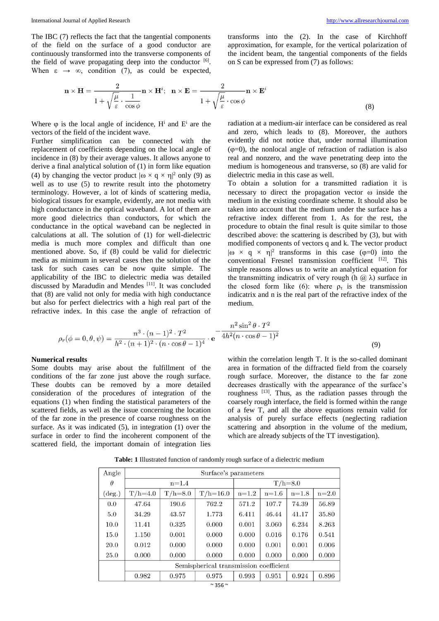transforms into the (2). In the case of Kirchhoff approximation, for example, for the vertical polarization of the incident beam, the tangential components of the fields on S can be expressed from (7) as follows:

$$
\mathbf{n} \times \mathbf{H} = \frac{2}{1 + \sqrt{\frac{\mu}{\varepsilon}} \cdot \frac{1}{\cos \phi}} \mathbf{n} \times \mathbf{H}^i; \quad \mathbf{n} \times \mathbf{E} = \frac{2}{1 + \sqrt{\frac{\mu}{\varepsilon}} \cdot \cos \phi} \mathbf{n} \times \mathbf{E}^i
$$
\n(8)

Where  $\varphi$  is the local angle of incidence,  $H^i$  and  $E^i$  are the vectors of the field of the incident wave.

Further simplification can be connected with the replacement of coefficients depending on the local angle of incidence in (8) by their average values. It allows anyone to derive a final analytical solution of (1) in form like equation (4) by changing the vector product  $|\omega \times q \times \eta|^2$  only (9) as well as to use (5) to rewrite result into the photometry terminology. However, a lot of kinds of scattering media, biological tissues for example, evidently, are not media with high conductance in the optical waveband. A lot of them are more good dielectrics than conductors, for which the conductance in the optical waveband can be neglected in calculations at all. The solution of (1) for well-dielectric media is much more complex and difficult than one mentioned above. So, if (8) could be valid for dielectric media as minimum in several cases then the solution of the task for such cases can be now quite simple. The applicability of the IBC to dielectric media was detailed discussed by Maradudin and Mendes [11] . It was concluded that (8) are valid not only for media with high conductance but also for perfect dielectrics with a high real part of the refractive index. In this case the angle of refraction of

radiation at a medium-air interface can be considered as real and zero, which leads to (8). Moreover, the authors evidently did not notice that, under normal illumination  $(\varphi=0)$ , the nonlocal angle of refraction of radiation is also real and nonzero, and the wave penetrating deep into the medium is homogeneous and transverse, so (8) are valid for dielectric media in this case as well.

To obtain a solution for a transmitted radiation it is necessary to direct the propagation vector  $\omega$  inside the medium in the existing coordinate scheme. It should also be taken into account that the medium under the surface has a refractive index different from 1. As for the rest, the procedure to obtain the final result is quite similar to those described above: the scattering is described by (3), but with modified components of vectors q and k. The vector product  $|\omega \times q \times \eta|^2$  transforms in this case ( $\varphi=0$ ) into the  $\overline{\text{conventional}}$  Fresnel transmission coefficient  $^{[12]}$ . This simple reasons allows us to write an analytical equation for the transmitting indicatrix of very rough (h  $(a)$ ) surface in the closed form like (6): where  $\rho_{\tau}$  is the transmission indicatrix and n is the real part of the refractive index of the medium.

$$
\rho_r(\phi = 0, \theta, \psi) = \frac{n^3 \cdot (n-1)^2 \cdot T^2}{h^2 \cdot (n+1)^2 \cdot (n \cdot \cos \theta - 1)^4} \cdot e^{-\frac{n^2 \sin^2 \theta \cdot T^2}{4h^2 (n \cdot \cos \theta - 1)^2}}
$$
(9)

#### **Numerical results**

Some doubts may arise about the fulfillment of the conditions of the far zone just above the rough surface. These doubts can be removed by a more detailed consideration of the procedures of integration of the equations (1) when finding the statistical parameters of the scattered fields, as well as the issue concerning the location of the far zone in the presence of coarse roughness on the surface. As it was indicated (5), in integration (1) over the surface in order to find the incoherent component of the scattered field, the important domain of integration lies

within the correlation length T. It is the so-called dominant area in formation of the diffracted field from the coarsely rough surface. Moreover, the distance to the far zone decreases drastically with the appearance of the surface's roughness  $^{[13]}$ . Thus, as the radiation passes through the coarsely rough interface, the field is formed within the range of a few T, and all the above equations remain valid for analysis of purely surface effects (neglecting radiation scattering and absorption in the volume of the medium, which are already subjects of the TT investigation).

| Angle           | Surface's parameters                   |             |              |             |         |         |         |
|-----------------|----------------------------------------|-------------|--------------|-------------|---------|---------|---------|
| $\theta$        | $n=1.4$                                |             |              | $T/h = 8.0$ |         |         |         |
| $(\text{deg.})$ | $T/h=4.0$                              | $T/h = 8.0$ | $T/h = 16.0$ | $n=1.2$     | $n=1.6$ | $n=1.8$ | $n=2.0$ |
| 0.0             | 47.64                                  | 190.6       | 762.2        | 571.2       | 107.7   | 74.39   | 56.89   |
| 5.0             | 34.29                                  | 43.57       | 1.773        | 6.411       | 46.44   | 41.17   | 35.80   |
| 10.0            | 11.41                                  | 0.325       | 0.000        | 0.001       | 3.060   | 6.234   | 8.263   |
| 15.0            | 1.150                                  | 0.001       | 0.000        | 0.000       | 0.016   | 0.176   | 0.541   |
| 20.0            | 0.012                                  | 0.000       | 0.000        | 0.000       | 0.001   | 0.001   | 0.006   |
| 25.0            | 0.000                                  | 0.000       | 0.000        | 0.000       | 0.000   | 0.000   | 0.000   |
|                 | Semispherical transmission coefficient |             |              |             |         |         |         |
|                 | 0.982                                  | 0.975       | 0.975        | 0.993       | 0.951   | 0.924   | 0.896   |

**Table: 1** Illustrated function of randomly rough surface of a dielectric medium